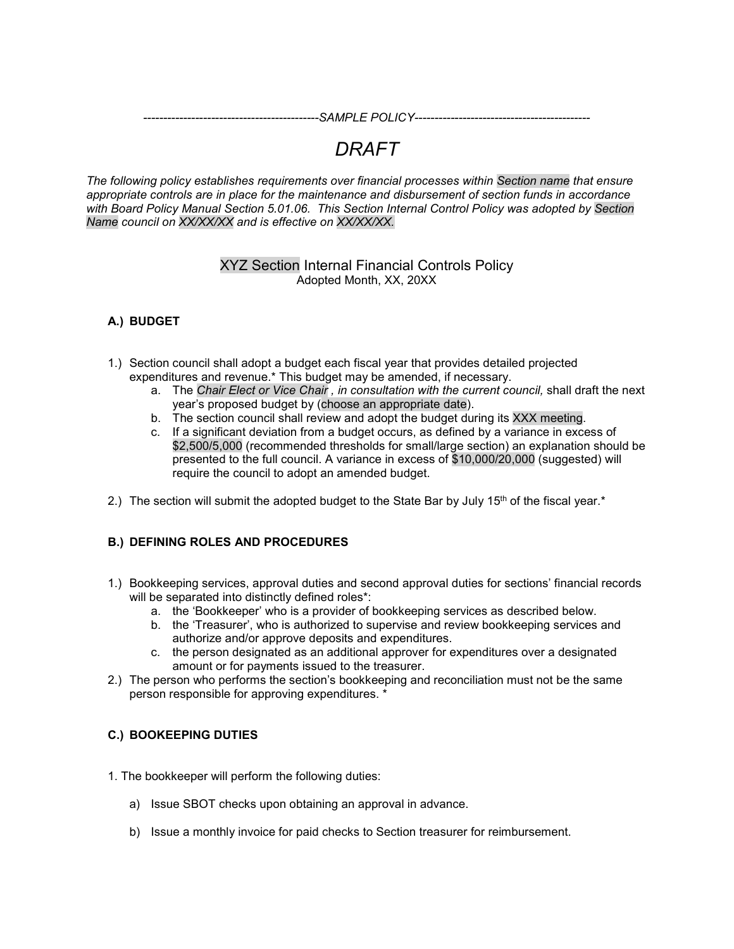*--------------------------------------------SAMPLE POLICY--------------------------------------------*

# *DRAFT*

*The following policy establishes requirements over financial processes within Section name that ensure appropriate controls are in place for the maintenance and disbursement of section funds in accordance with Board Policy Manual Section 5.01.06. This Section Internal Control Policy was adopted by Section Name council on XX/XX/XX and is effective on XX/XX/XX.*

# XYZ Section Internal Financial Controls Policy Adopted Month, XX, 20XX

# **A.) BUDGET**

- 1.) Section council shall adopt a budget each fiscal year that provides detailed projected expenditures and revenue.\* This budget may be amended, if necessary.
	- a. The *Chair Elect or Vice Chair , in consultation with the current council,* shall draft the next year's proposed budget by (choose an appropriate date).
	- b. The section council shall review and adopt the budget during its XXX meeting.
	- c. If a significant deviation from a budget occurs, as defined by a variance in excess of \$2,500/5,000 (recommended thresholds for small/large section) an explanation should be presented to the full council. A variance in excess of \$10,000/20,000 (suggested) will require the council to adopt an amended budget.
- 2.) The section will submit the adopted budget to the State Bar by July 15<sup>th</sup> of the fiscal year.<sup>\*</sup>

#### **B.) DEFINING ROLES AND PROCEDURES**

- 1.) Bookkeeping services, approval duties and second approval duties for sections' financial records will be separated into distinctly defined roles\*:
	- a. the 'Bookkeeper' who is a provider of bookkeeping services as described below.
	- b. the 'Treasurer', who is authorized to supervise and review bookkeeping services and authorize and/or approve deposits and expenditures.
	- c. the person designated as an additional approver for expenditures over a designated amount or for payments issued to the treasurer.
- 2.) The person who performs the section's bookkeeping and reconciliation must not be the same person responsible for approving expenditures. \*

#### **C.) BOOKEEPING DUTIES**

- 1. The bookkeeper will perform the following duties:
	- a) Issue SBOT checks upon obtaining an approval in advance.
	- b) Issue a monthly invoice for paid checks to Section treasurer for reimbursement.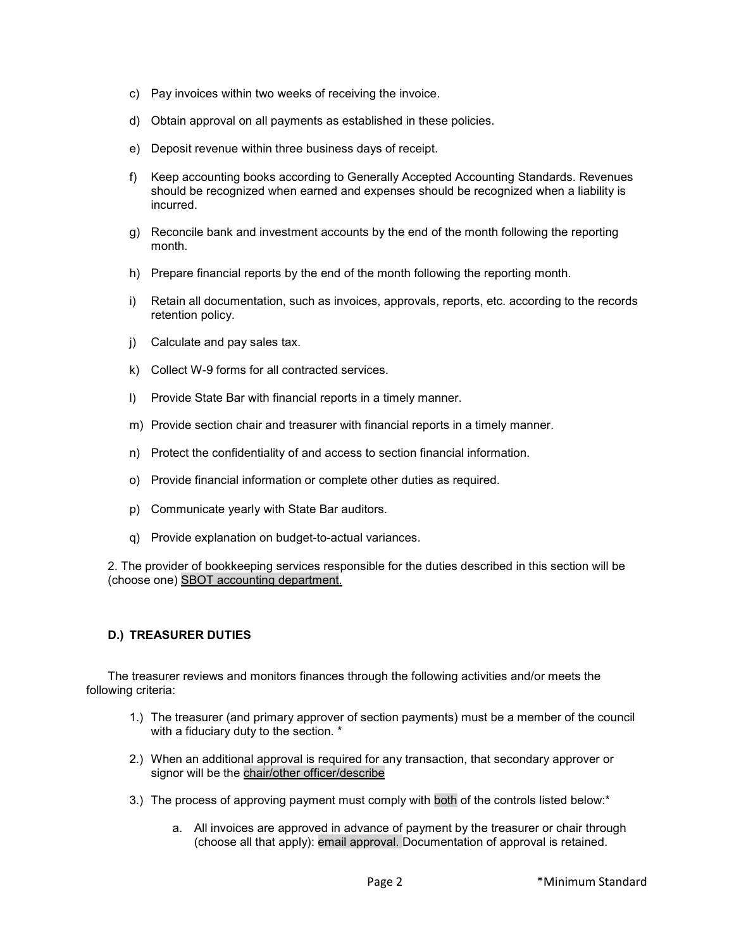- c) Pay invoices within two weeks of receiving the invoice.
- d) Obtain approval on all payments as established in these policies.
- e) Deposit revenue within three business days of receipt.
- f) Keep accounting books according to Generally Accepted Accounting Standards. Revenues should be recognized when earned and expenses should be recognized when a liability is incurred.
- g) Reconcile bank and investment accounts by the end of the month following the reporting month.
- h) Prepare financial reports by the end of the month following the reporting month.
- i) Retain all documentation, such as invoices, approvals, reports, etc. according to the records retention policy.
- j) Calculate and pay sales tax.
- k) Collect W-9 forms for all contracted services.
- l) Provide State Bar with financial reports in a timely manner.
- m) Provide section chair and treasurer with financial reports in a timely manner.
- n) Protect the confidentiality of and access to section financial information.
- o) Provide financial information or complete other duties as required.
- p) Communicate yearly with State Bar auditors.
- q) Provide explanation on budget-to-actual variances.

2. The provider of bookkeeping services responsible for the duties described in this section will be (choose one) SBOT accounting department.

#### **D.) TREASURER DUTIES**

The treasurer reviews and monitors finances through the following activities and/or meets the following criteria:

- 1.) The treasurer (and primary approver of section payments) must be a member of the council with a fiduciary duty to the section. \*
- 2.) When an additional approval is required for any transaction, that secondary approver or signor will be the chair/other officer/describe
- 3.) The process of approving payment must comply with both of the controls listed below:\*
	- a. All invoices are approved in advance of payment by the treasurer or chair through (choose all that apply): email approval. Documentation of approval is retained.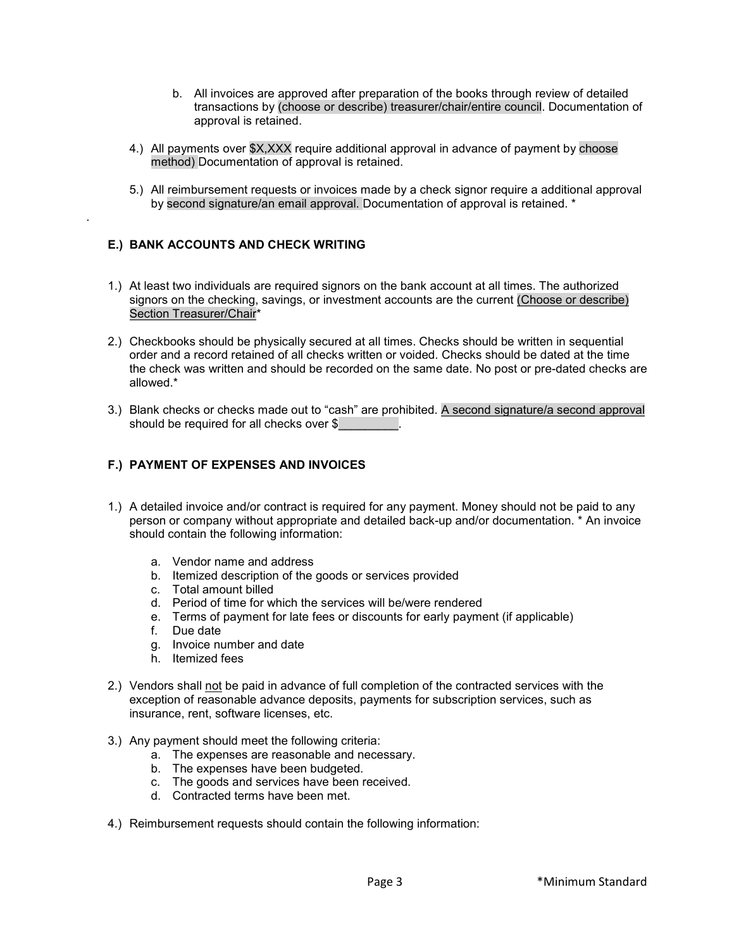- b. All invoices are approved after preparation of the books through review of detailed transactions by (choose or describe) treasurer/chair/entire council. Documentation of approval is retained.
- 4.) All payments over \$X,XXX require additional approval in advance of payment by choose method) Documentation of approval is retained.
- 5.) All reimbursement requests or invoices made by a check signor require a additional approval by second signature/an email approval. Documentation of approval is retained. \*

#### **E.) BANK ACCOUNTS AND CHECK WRITING**

.

- 1.) At least two individuals are required signors on the bank account at all times. The authorized signors on the checking, savings, or investment accounts are the current (Choose or describe) Section Treasurer/Chair\*
- 2.) Checkbooks should be physically secured at all times. Checks should be written in sequential order and a record retained of all checks written or voided. Checks should be dated at the time the check was written and should be recorded on the same date. No post or pre-dated checks are allowed.\*
- 3.) Blank checks or checks made out to "cash" are prohibited. A second signature/a second approval should be required for all checks over \$

#### **F.) PAYMENT OF EXPENSES AND INVOICES**

- 1.) A detailed invoice and/or contract is required for any payment. Money should not be paid to any person or company without appropriate and detailed back-up and/or documentation. \* An invoice should contain the following information:
	- a. Vendor name and address
	- b. Itemized description of the goods or services provided
	- c. Total amount billed
	- d. Period of time for which the services will be/were rendered
	- e. Terms of payment for late fees or discounts for early payment (if applicable)
	- f. Due date
	- g. Invoice number and date
	- h. Itemized fees
- 2.) Vendors shall not be paid in advance of full completion of the contracted services with the exception of reasonable advance deposits, payments for subscription services, such as insurance, rent, software licenses, etc.
- 3.) Any payment should meet the following criteria:
	- a. The expenses are reasonable and necessary.
	- b. The expenses have been budgeted.
	- c. The goods and services have been received.
	- d. Contracted terms have been met.
- 4.) Reimbursement requests should contain the following information: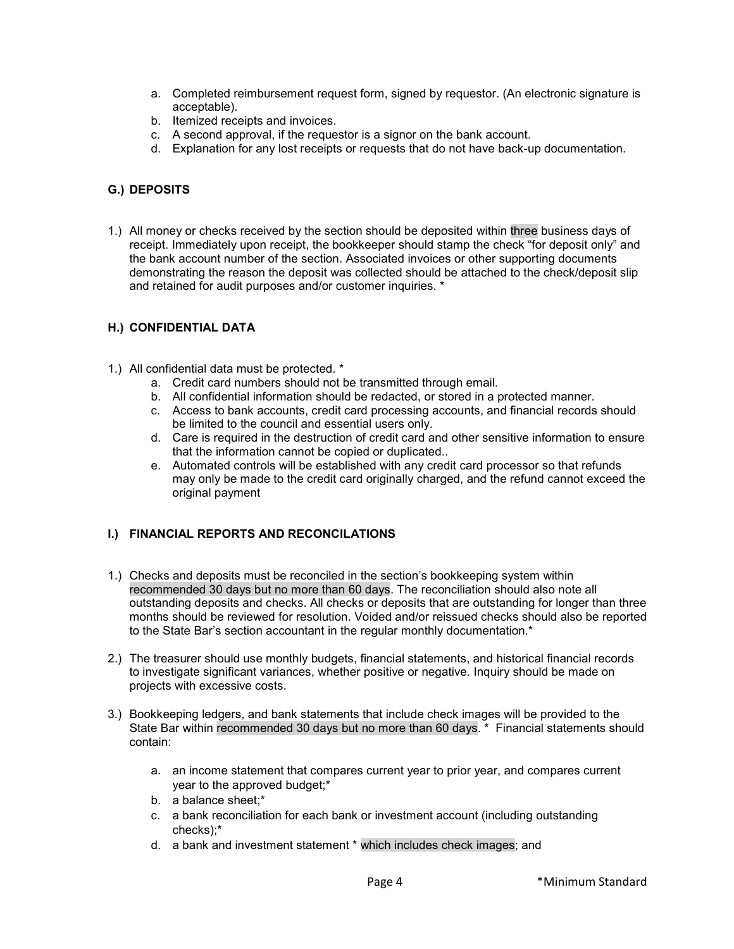- a. Completed reimbursement request form, signed by requestor. (An electronic signature is acceptable).
- b. Itemized receipts and invoices.
- c. A second approval, if the requestor is a signor on the bank account.
- d. Explanation for any lost receipts or requests that do not have back-up documentation.

### **G.) DEPOSITS**

1.) All money or checks received by the section should be deposited within three business days of receipt. Immediately upon receipt, the bookkeeper should stamp the check "for deposit only" and the bank account number of the section. Associated invoices or other supporting documents demonstrating the reason the deposit was collected should be attached to the check/deposit slip and retained for audit purposes and/or customer inquiries. \*

#### **H.) CONFIDENTIAL DATA**

- 1.) All confidential data must be protected. \*
	- a. Credit card numbers should not be transmitted through email.
	- b. All confidential information should be redacted, or stored in a protected manner.
	- c. Access to bank accounts, credit card processing accounts, and financial records should be limited to the council and essential users only.
	- d. Care is required in the destruction of credit card and other sensitive information to ensure that the information cannot be copied or duplicated..
	- e. Automated controls will be established with any credit card processor so that refunds may only be made to the credit card originally charged, and the refund cannot exceed the original payment

# **I.) FINANCIAL REPORTS AND RECONCILATIONS**

- 1.) Checks and deposits must be reconciled in the section's bookkeeping system within recommended 30 days but no more than 60 days. The reconciliation should also note all outstanding deposits and checks. All checks or deposits that are outstanding for longer than three months should be reviewed for resolution. Voided and/or reissued checks should also be reported to the State Bar's section accountant in the regular monthly documentation.\*
- 2.) The treasurer should use monthly budgets, financial statements, and historical financial records to investigate significant variances, whether positive or negative. Inquiry should be made on projects with excessive costs.
- 3.) Bookkeeping ledgers, and bank statements that include check images will be provided to the State Bar within recommended 30 days but no more than 60 days. \* Financial statements should contain:
	- a. an income statement that compares current year to prior year, and compares current year to the approved budget;\*
	- b. a balance sheet;\*
	- c. a bank reconciliation for each bank or investment account (including outstanding checks);\*
	- d. a bank and investment statement \* which includes check images; and